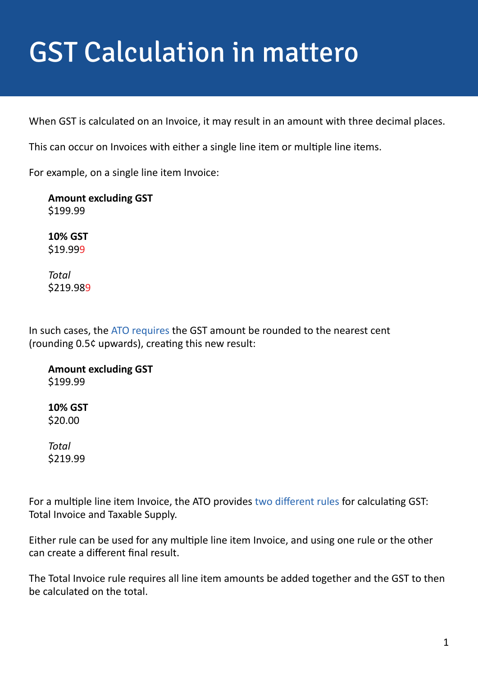## GST Calculation in mattero

When GST is calculated on an Invoice, it may result in an amount with three decimal places.

This can occur on Invoices with either a single line item or multiple line items.

For example, on a single line item Invoice:

**Amount excluding GST** \$199.99

**10% GST** \$19.999

*Total* \$219.989

In such cases, the [ATO requires](https://www.ato.gov.au/Business/GST/Tax-invoices/#AgencyRelationships) the GST amount be rounded to the nearest cent (rounding 0.5¢ upwards), creating this new result:

**Amount excluding GST** \$199.99

**10% GST** \$20.00

*Total* \$219.99

For a multiple line item Invoice, the ATO provides [two different rules](https://www.ato.gov.au/Business/GST/Tax-invoices/#AgencyRelationships) for calculating GST: Total Invoice and Taxable Supply.

Either rule can be used for any multiple line item Invoice, and using one rule or the other can create a different final result.

The Total Invoice rule requires all line item amounts be added together and the GST to then be calculated on the total.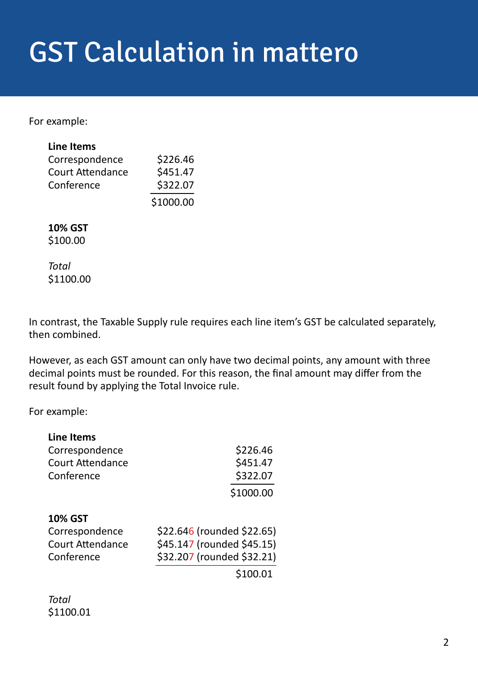## GST Calculation in mattero

For example:

| <b>Line Items</b>       |           |
|-------------------------|-----------|
| Correspondence          | \$226.46  |
| <b>Court Attendance</b> | \$451.47  |
| Conference              | \$322.07  |
|                         | \$1000.00 |

## **10% GST** \$100.00

*Total* \$1100.00

In contrast, the Taxable Supply rule requires each line item's GST be calculated separately, then combined.

However, as each GST amount can only have two decimal points, any amount with three decimal points must be rounded. For this reason, the final amount may differ from the result found by applying the Total Invoice rule.

For example:

| \$226.46                   |
|----------------------------|
| \$451.47                   |
| \$322.07                   |
| \$1000.00                  |
|                            |
| \$22.646 (rounded \$22.65) |
| \$45.147 (rounded \$45.15) |
| \$32.207 (rounded \$32.21) |
| \$100.01                   |
|                            |

*Total* \$1100.01